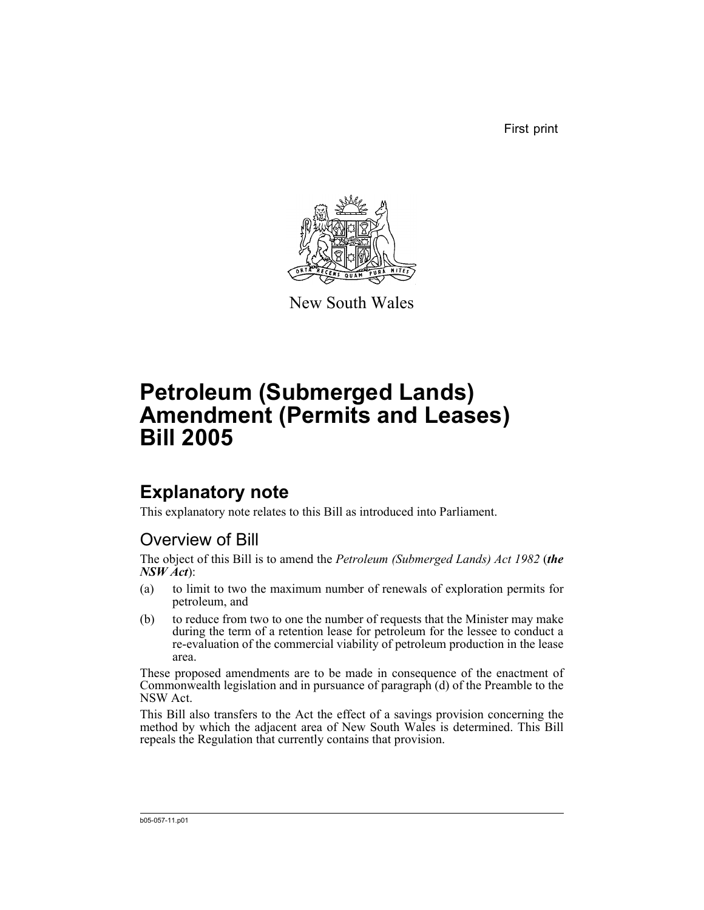First print



New South Wales

# **Petroleum (Submerged Lands) Amendment (Permits and Leases) Bill 2005**

## **Explanatory note**

This explanatory note relates to this Bill as introduced into Parliament.

### Overview of Bill

The object of this Bill is to amend the *Petroleum (Submerged Lands) Act 1982* (*the NSW Act*):

- (a) to limit to two the maximum number of renewals of exploration permits for petroleum, and
- (b) to reduce from two to one the number of requests that the Minister may make during the term of a retention lease for petroleum for the lessee to conduct a re-evaluation of the commercial viability of petroleum production in the lease area.

These proposed amendments are to be made in consequence of the enactment of Commonwealth legislation and in pursuance of paragraph (d) of the Preamble to the NSW Act.

This Bill also transfers to the Act the effect of a savings provision concerning the method by which the adjacent area of New South Wales is determined. This Bill repeals the Regulation that currently contains that provision.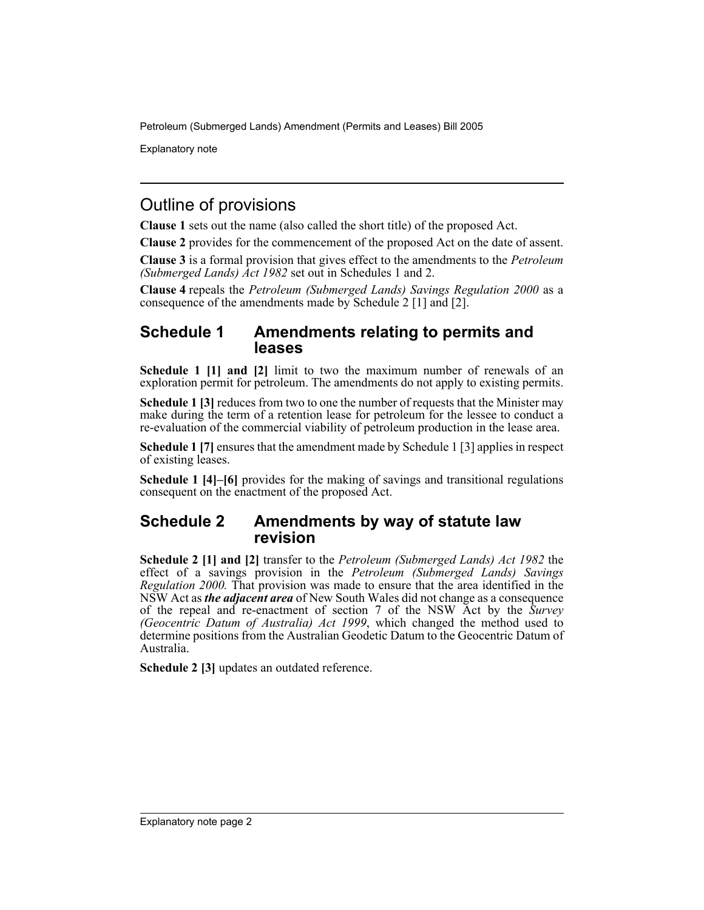Explanatory note

### Outline of provisions

**Clause 1** sets out the name (also called the short title) of the proposed Act.

**Clause 2** provides for the commencement of the proposed Act on the date of assent.

**Clause 3** is a formal provision that gives effect to the amendments to the *Petroleum (Submerged Lands) Act 1982* set out in Schedules 1 and 2.

**Clause 4** repeals the *Petroleum (Submerged Lands) Savings Regulation 2000* as a consequence of the amendments made by Schedule 2 [1] and [2].

#### **Schedule 1 Amendments relating to permits and leases**

**Schedule 1 [1] and [2]** limit to two the maximum number of renewals of an exploration permit for petroleum. The amendments do not apply to existing permits.

**Schedule 1 [3] reduces from two to one the number of requests that the Minister may** make during the term of a retention lease for petroleum for the lessee to conduct a re-evaluation of the commercial viability of petroleum production in the lease area.

**Schedule 1 [7]** ensures that the amendment made by Schedule 1 [3] applies in respect of existing leases.

**Schedule 1 [4]–[6]** provides for the making of savings and transitional regulations consequent on the enactment of the proposed Act.

#### **Schedule 2 Amendments by way of statute law revision**

**Schedule 2 [1] and [2]** transfer to the *Petroleum (Submerged Lands) Act 1982* the effect of a savings provision in the *Petroleum (Submerged Lands) Savings Regulation 2000.* That provision was made to ensure that the area identified in the NSW Act as *the adjacent area* of New South Wales did not change as a consequence of the repeal and re-enactment of section 7 of the NSW Act by the *Survey (Geocentric Datum of Australia) Act 1999*, which changed the method used to determine positions from the Australian Geodetic Datum to the Geocentric Datum of Australia.

**Schedule 2 [3]** updates an outdated reference.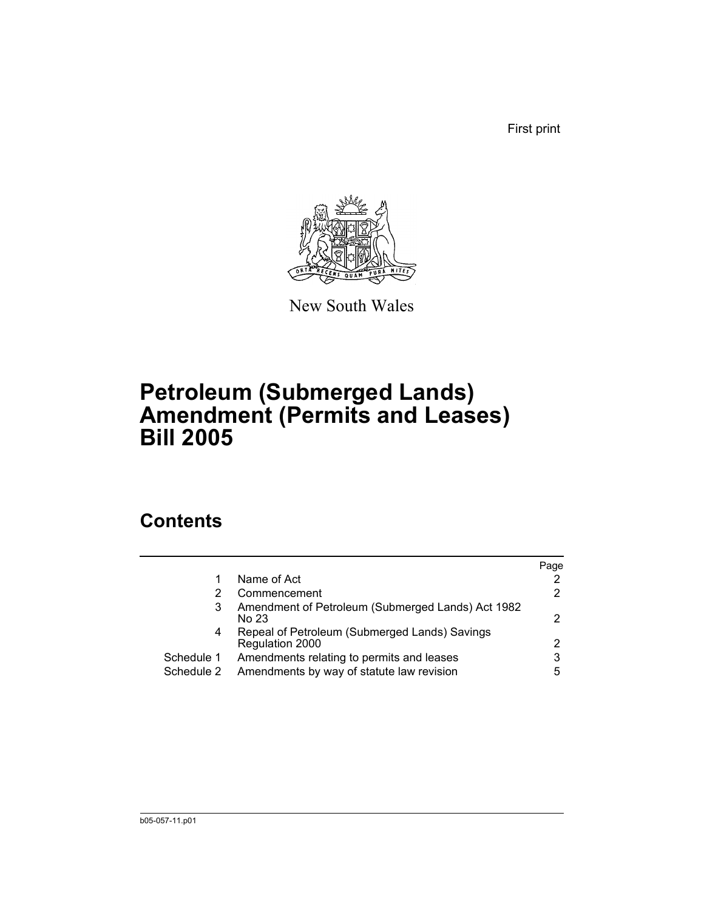First print



New South Wales

# **Petroleum (Submerged Lands) Amendment (Permits and Leases) Bill 2005**

## **Contents**

|            |                                                                  | Page |
|------------|------------------------------------------------------------------|------|
|            | Name of Act                                                      |      |
|            | Commencement                                                     | 2    |
|            | Amendment of Petroleum (Submerged Lands) Act 1982<br>No 23       | 2    |
| 4          | Repeal of Petroleum (Submerged Lands) Savings<br>Regulation 2000 | 2    |
| Schedule 1 | Amendments relating to permits and leases                        | 3    |
| Schedule 2 | Amendments by way of statute law revision                        | 5    |
|            |                                                                  |      |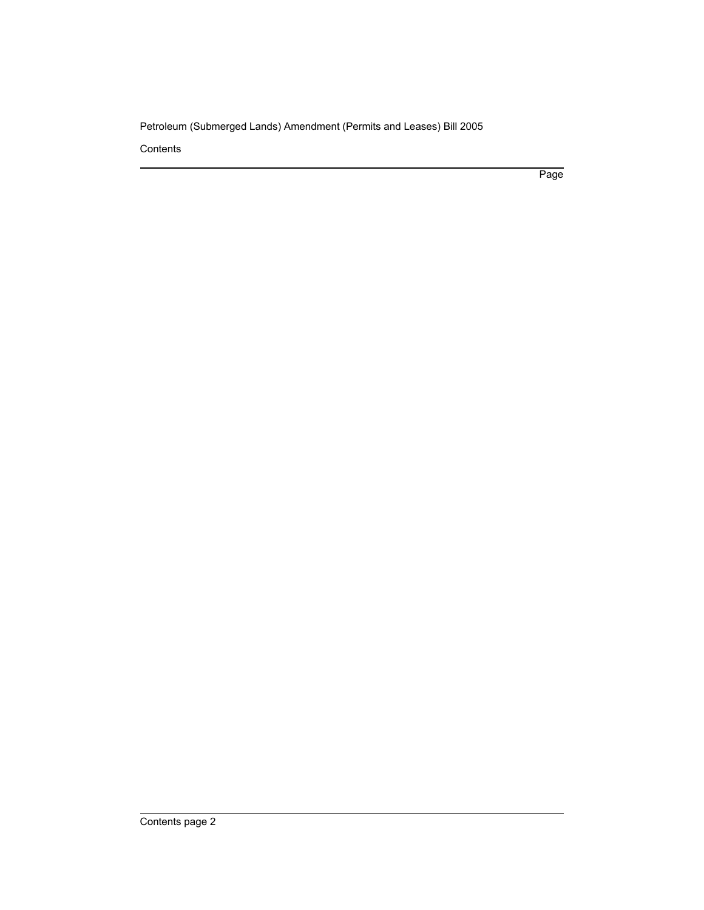Petroleum (Submerged Lands) Amendment (Permits and Leases) Bill 2005 **Contents** 

Page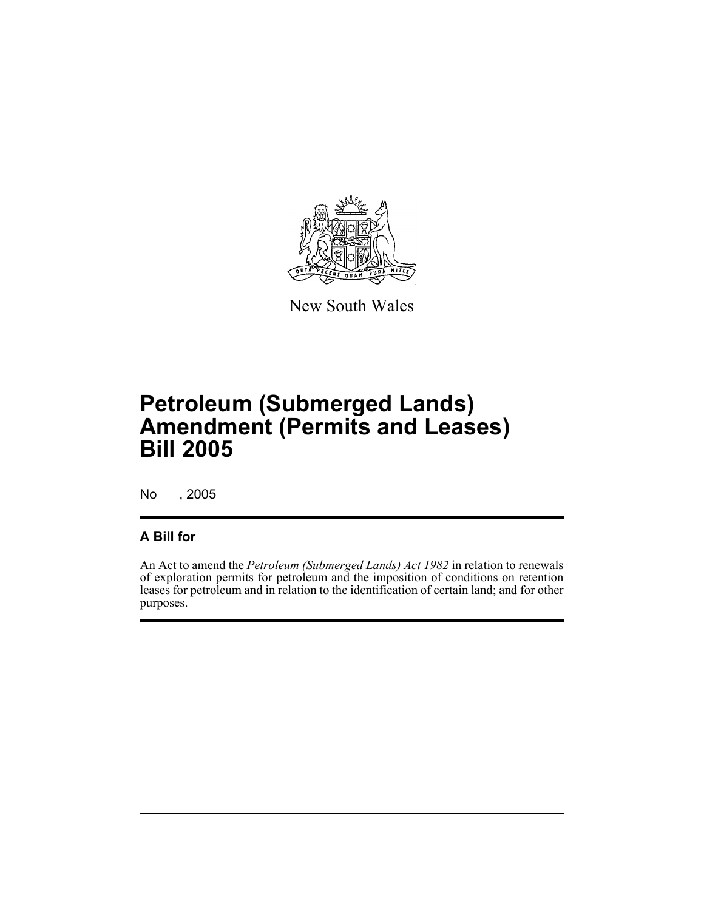

New South Wales

No , 2005

#### **A Bill for**

An Act to amend the *Petroleum (Submerged Lands) Act 1982* in relation to renewals of exploration permits for petroleum and the imposition of conditions on retention leases for petroleum and in relation to the identification of certain land; and for other purposes.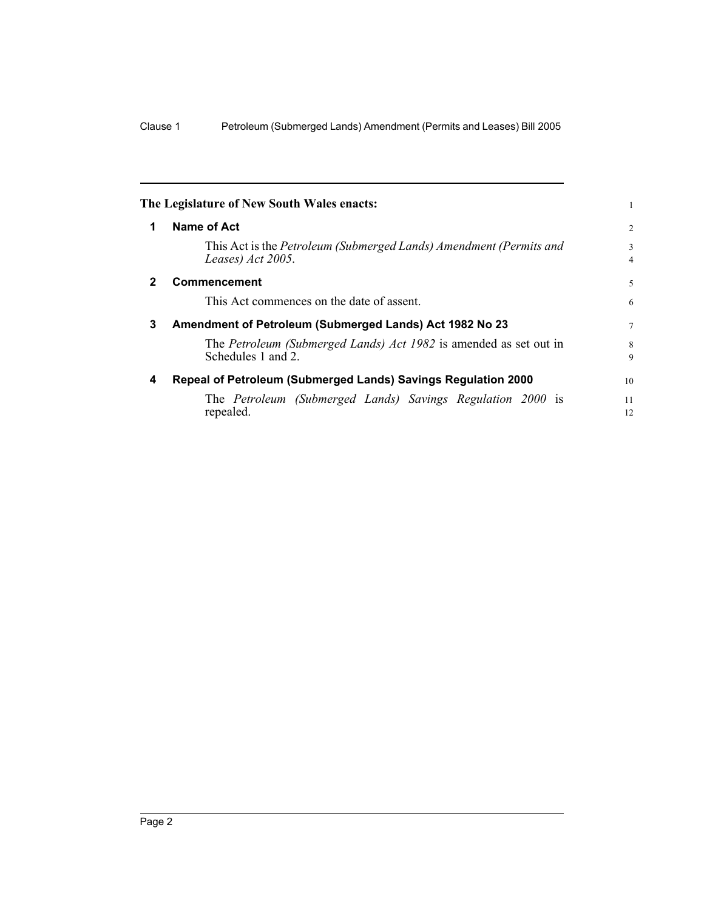<span id="page-5-2"></span><span id="page-5-1"></span><span id="page-5-0"></span>

|   | The Legislature of New South Wales enacts:                                                     |                     |
|---|------------------------------------------------------------------------------------------------|---------------------|
| 1 | Name of Act                                                                                    | $\overline{2}$      |
|   | This Act is the Petroleum (Submerged Lands) Amendment (Permits and<br>Leases) Act 2005.        | 3<br>$\overline{4}$ |
| 2 | <b>Commencement</b>                                                                            | 5                   |
|   | This Act commences on the date of assent.                                                      | 6                   |
| 3 | Amendment of Petroleum (Submerged Lands) Act 1982 No 23                                        | 7                   |
|   | The <i>Petroleum (Submerged Lands) Act 1982</i> is amended as set out in<br>Schedules 1 and 2. | 8<br>9              |
| 4 | Repeal of Petroleum (Submerged Lands) Savings Regulation 2000                                  | 10                  |
|   | The Petroleum (Submerged Lands) Savings Regulation 2000 is<br>repealed.                        | 11<br>12            |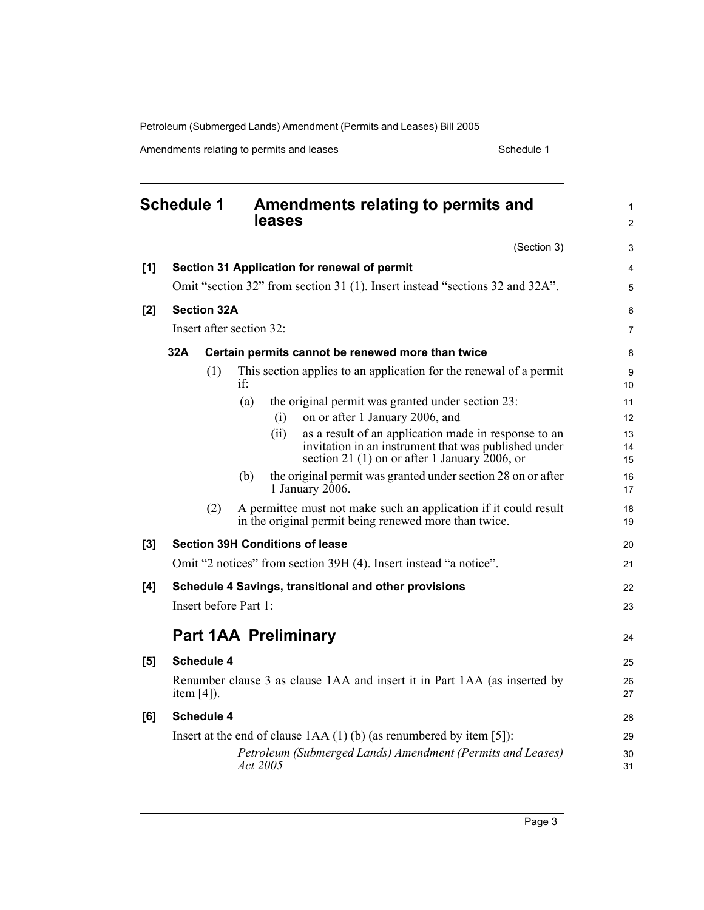Amendments relating to permits and leases Schedule 1

<span id="page-6-0"></span>

|     | <b>Schedule 1</b> |                    | Amendments relating to permits and<br>leases                                                                              | $\mathbf{1}$<br>$\overline{2}$ |
|-----|-------------------|--------------------|---------------------------------------------------------------------------------------------------------------------------|--------------------------------|
|     |                   |                    | (Section 3)                                                                                                               | 3                              |
| [1] |                   |                    | Section 31 Application for renewal of permit                                                                              | $\overline{4}$                 |
|     |                   |                    | Omit "section 32" from section 31 (1). Insert instead "sections 32 and 32A".                                              | 5                              |
| [2] |                   | <b>Section 32A</b> |                                                                                                                           | 6                              |
|     |                   |                    | Insert after section 32:                                                                                                  | $\overline{7}$                 |
|     | 32A               |                    | Certain permits cannot be renewed more than twice                                                                         | 8                              |
|     |                   | (1)                | This section applies to an application for the renewal of a permit<br>if                                                  | 9<br>10                        |
|     |                   |                    | the original permit was granted under section 23:<br>(a)                                                                  | 11                             |
|     |                   |                    | on or after 1 January 2006, and<br>(i)                                                                                    | 12                             |
|     |                   |                    | as a result of an application made in response to an<br>(ii)<br>invitation in an instrument that was published under      | 13<br>14                       |
|     |                   |                    | section 21 (1) on or after 1 January 2006, or                                                                             | 15                             |
|     |                   |                    | the original permit was granted under section 28 on or after<br>(b)<br>1 January 2006.                                    | 16<br>17                       |
|     |                   | (2)                | A permittee must not make such an application if it could result<br>in the original permit being renewed more than twice. | 18<br>19                       |
| [3] |                   |                    | <b>Section 39H Conditions of lease</b>                                                                                    | 20                             |
|     |                   |                    | Omit "2 notices" from section 39H (4). Insert instead "a notice".                                                         | 21                             |
| [4] |                   |                    | Schedule 4 Savings, transitional and other provisions                                                                     | 22                             |
|     |                   |                    | Insert before Part 1:                                                                                                     | 23                             |
|     |                   |                    | <b>Part 1AA Preliminary</b>                                                                                               | 24                             |
| [5] |                   | <b>Schedule 4</b>  |                                                                                                                           | 25                             |
|     | item $[4]$ ).     |                    | Renumber clause 3 as clause 1AA and insert it in Part 1AA (as inserted by                                                 | 26<br>27                       |
| [6] |                   | <b>Schedule 4</b>  |                                                                                                                           | 28                             |
|     |                   |                    | Insert at the end of clause $1AA(1)$ (b) (as renumbered by item [5]):                                                     | 29                             |
|     |                   |                    | Petroleum (Submerged Lands) Amendment (Permits and Leases)<br>Act 2005                                                    | 30<br>31                       |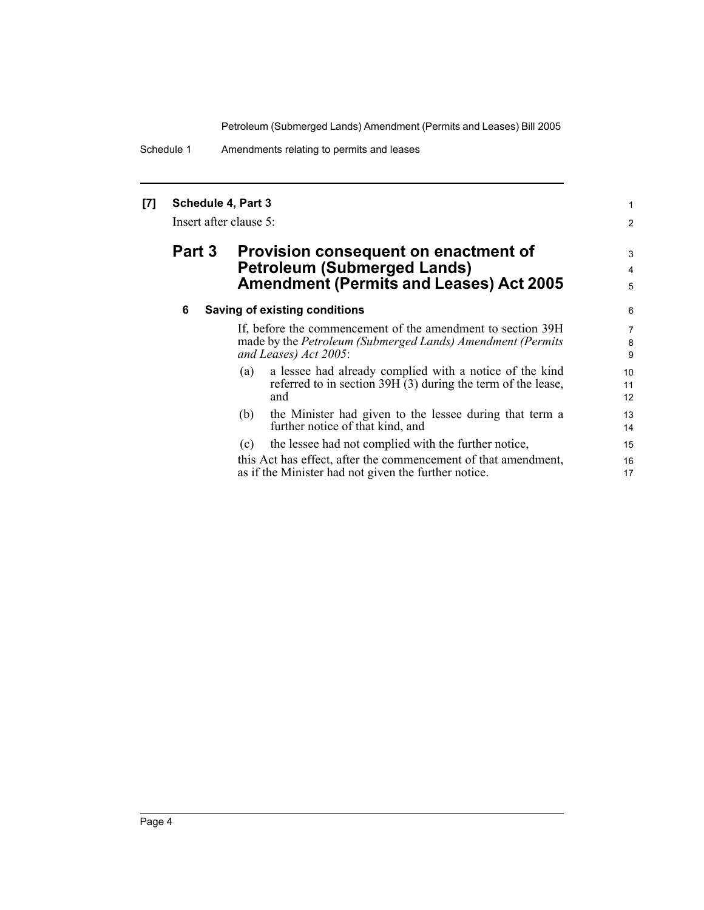1 2

3 4 5

Schedule 1 Amendments relating to permits and leases

#### **[7] Schedule 4, Part 3**

Insert after clause 5:

#### **Part 3 Provision consequent on enactment of Petroleum (Submerged Lands) Amendment (Permits and Leases) Act 2005**

#### **6 Saving of existing conditions**

If, before the commencement of the amendment to section 39H made by the *Petroleum (Submerged Lands) Amendment (Permits and Leases) Act 2005*:

- (a) a lessee had already complied with a notice of the kind referred to in section  $39H(3)$  during the term of the lease, and
- (b) the Minister had given to the lessee during that term a further notice of that kind, and
- (c) the lessee had not complied with the further notice,

this Act has effect, after the commencement of that amendment, as if the Minister had not given the further notice.